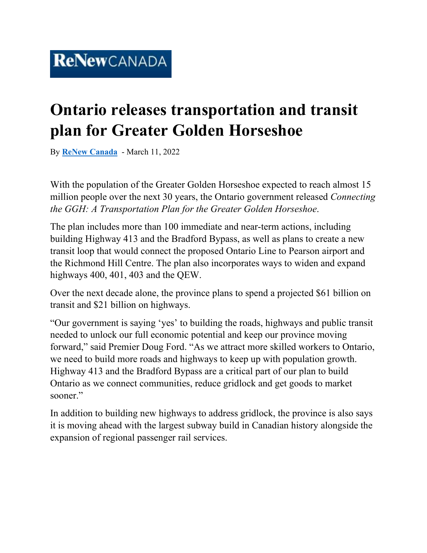## **Ontario releases transportation and transit plan for Greater Golden Horseshoe**

By **[ReNew Canada](https://www.renewcanada.net/5000090953-2/)** - March 11, 2022

With the population of the Greater Golden Horseshoe expected to reach almost 15 million people over the next 30 years, the Ontario government released *Connecting the GGH: A Transportation Plan for the Greater Golden Horseshoe*.

The plan includes more than 100 immediate and near-term actions, including building Highway 413 and the Bradford Bypass, as well as plans to create a new transit loop that would connect the proposed Ontario Line to Pearson airport and the Richmond Hill Centre. The plan also incorporates ways to widen and expand highways 400, 401, 403 and the QEW.

Over the next decade alone, the province plans to spend a projected \$61 billion on transit and \$21 billion on highways.

"Our government is saying 'yes' to building the roads, highways and public transit needed to unlock our full economic potential and keep our province moving forward," said Premier Doug Ford. "As we attract more skilled workers to Ontario, we need to build more roads and highways to keep up with population growth. Highway 413 and the Bradford Bypass are a critical part of our plan to build Ontario as we connect communities, reduce gridlock and get goods to market sooner."

In addition to building new highways to address gridlock, the province is also says it is moving ahead with the largest subway build in Canadian history alongside the expansion of regional passenger rail services.